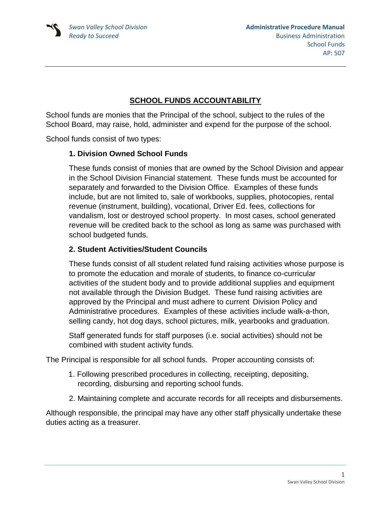# **SCHOOL FUNDS ACCOUNTABILITY**

School funds are monies that the Principal of the school, subject to the rules of the School Board, may raise, hold, administer and expend for the purpose of the school.

School funds consist of two types:

### **1. Division Owned School Funds**

These funds consist of monies that are owned by the School Division and appear in the School Division Financial statement. These funds must be accounted for separately and forwarded to the Division Office. Examples of these funds include, but are not limited to, sale of workbooks, supplies, photocopies, rental revenue (instrument, building), vocational, Driver Ed. fees, collections for vandalism, lost or destroyed school property. In most cases, school generated revenue will be credited back to the school as long as same was purchased with school budgeted funds.

### **2. Student Activities/Student Councils**

These funds consist of all student related fund raising activities whose purpose is to promote the education and morale of students, to finance co-curricular activities of the student body and to provide additional supplies and equipment not available through the Division Budget. These fund raising activities are approved by the Principal and must adhere to current Division Policy and Administrative procedures. Examples of these activities include walk-a-thon, selling candy, hot dog days, school pictures, milk, yearbooks and graduation.

Staff generated funds for staff purposes (i.e. social activities) should not be combined with student activity funds.

The Principal is responsible for all school funds. Proper accounting consists of:

- 1. Following prescribed procedures in collecting, receipting, depositing, recording, disbursing and reporting school funds.
- 2. Maintaining complete and accurate records for all receipts and disbursements.

Although responsible, the principal may have any other staff physically undertake these duties acting as a treasurer.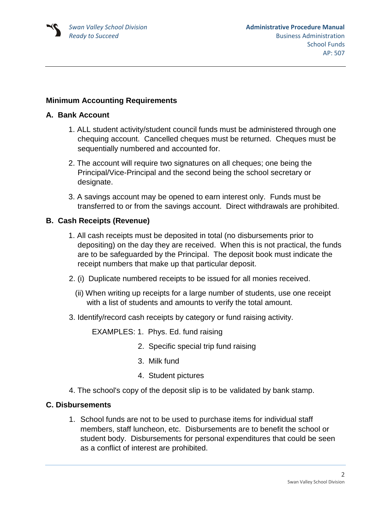### **Minimum Accounting Requirements**

#### **A. Bank Account**

- 1. ALL student activity/student council funds must be administered through one chequing account. Cancelled cheques must be returned. Cheques must be sequentially numbered and accounted for.
- 2. The account will require two signatures on all cheques; one being the Principal/Vice-Principal and the second being the school secretary or designate.
- 3. A savings account may be opened to earn interest only. Funds must be transferred to or from the savings account. Direct withdrawals are prohibited.

### **B. Cash Receipts (Revenue)**

- 1. All cash receipts must be deposited in total (no disbursements prior to depositing) on the day they are received. When this is not practical, the funds are to be safeguarded by the Principal. The deposit book must indicate the receipt numbers that make up that particular deposit.
- 2. (i) Duplicate numbered receipts to be issued for all monies received.
	- (ii) When writing up receipts for a large number of students, use one receipt with a list of students and amounts to verify the total amount.
- 3. Identify/record cash receipts by category or fund raising activity.

EXAMPLES: 1. Phys. Ed. fund raising

- 2. Specific special trip fund raising
- 3. Milk fund
- 4. Student pictures
- 4. The school's copy of the deposit slip is to be validated by bank stamp.

#### **C. Disbursements**

1. School funds are not to be used to purchase items for individual staff members, staff luncheon, etc. Disbursements are to benefit the school or student body. Disbursements for personal expenditures that could be seen as a conflict of interest are prohibited.